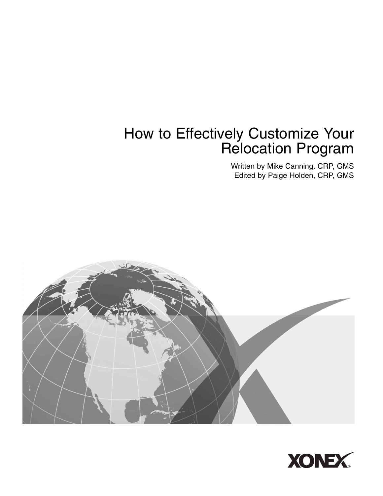# How to Effectively Customize Your Relocation Program

Written by Mike Canning, CRP, GMS Edited by Paige Holden, CRP, GMS



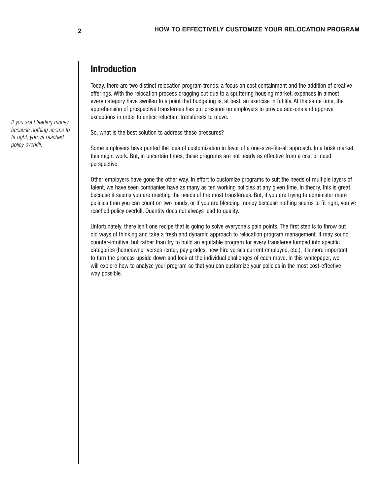## **Introduction**

Today, there are two distinct relocation program trends: a focus on cost containment and the addition of creative offerings. With the relocation process dragging out due to a sputtering housing market, expenses in almost every category have swollen to a point that budgeting is, at best, an exercise in futility. At the same time, the apprehension of prospective transferees has put pressure on employers to provide add-ons and approve exceptions in order to entice reluctant transferees to move.

So, what is the best solution to address these pressures?

Some employers have punted the idea of customization in favor of a one-size-fits-all approach. In a brisk market, this might work. But, in uncertain times, these programs are not nearly as effective from a cost or need perspective.

Other employers have gone the other way. In effort to customize programs to suit the needs of multiple layers of talent, we have seen companies have as many as ten working policies at any given time. In theory, this is great because it seems you are meeting the needs of the most transferees. But, if you are trying to administer more policies than you can count on two hands, or if you are bleeding money because nothing seems to fit right, you've reached policy overkill. Quantity does not always lead to quality.

Unfortunately, there isn't one recipe that is going to solve everyone's pain points. The first step is to throw out old ways of thinking and take a fresh and dynamic approach to relocation program management. It may sound counter-intuitive, but rather than try to build an equitable program for every transferee lumped into specific categories (homeowner verses renter, pay grades, new hire verses current employee, etc.), it's more important to turn the process upside down and look at the individual challenges of each move. In this whitepaper, we will explore how to analyze your program so that you can customize your policies in the most cost-effective way possible.

*If you are bleeding money because nothing seems to fit right, you've reached policy overkill.*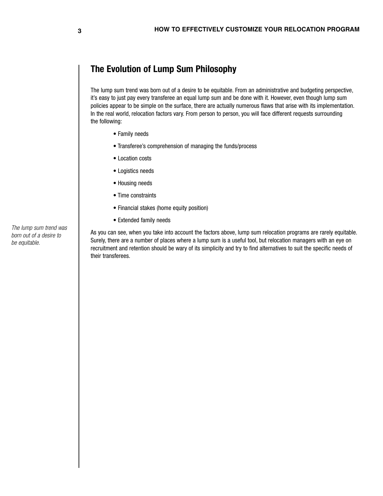## **The Evolution of Lump Sum Philosophy**

The lump sum trend was born out of a desire to be equitable. From an administrative and budgeting perspective, it's easy to just pay every transferee an equal lump sum and be done with it. However, even though lump sum policies appear to be simple on the surface, there are actually numerous flaws that arise with its implementation. In the real world, relocation factors vary. From person to person, you will face different requests surrounding the following:

- Family needs
- Transferee's comprehension of managing the funds/process
- Location costs
- Logistics needs
- Housing needs
- Time constraints
- Financial stakes (home equity position)
- Extended family needs

As you can see, when you take into account the factors above, lump sum relocation programs are rarely equitable. Surely, there are a number of places where a lump sum is a useful tool, but relocation managers with an eye on recruitment and retention should be wary of its simplicity and try to find alternatives to suit the specific needs of their transferees.

*The lump sum trend was born out of a desire to be equitable.*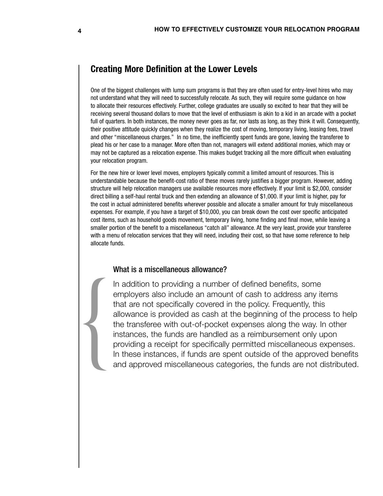### **Creating More Definition at the Lower Levels**

One of the biggest challenges with lump sum programs is that they are often used for entry-level hires who may not understand what they will need to successfully relocate. As such, they will require some guidance on how to allocate their resources effectively. Further, college graduates are usually so excited to hear that they will be receiving several thousand dollars to move that the level of enthusiasm is akin to a kid in an arcade with a pocket full of quarters. In both instances, the money never goes as far, nor lasts as long, as they think it will. Consequently, their positive attitude quickly changes when they realize the cost of moving, temporary living, leasing fees, travel and other "miscellaneous charges." In no time, the inefficiently spent funds are gone, leaving the transferee to plead his or her case to a manager. More often than not, managers will extend additional monies, which may or may not be captured as a relocation expense. This makes budget tracking all the more difficult when evaluating your relocation program.

For the new hire or lower level moves, employers typically commit a limited amount of resources. This is understandable because the benefit-cost ratio of these moves rarely justifies a bigger program. However, adding structure will help relocation managers use available resources more effectively. If your limit is \$2,000, consider direct billing a self-haul rental truck and then extending an allowance of \$1,000. If your limit is higher, pay for the cost in actual administered benefits wherever possible and allocate a smaller amount for truly miscellaneous expenses. For example, if you have a target of \$10,000, you can break down the cost over specific anticipated cost items, such as household goods movement, temporary living, home finding and final move, while leaving a smaller portion of the benefit to a miscellaneous "catch all" allowance. At the very least, provide your transferee with a menu of relocation services that they will need, including their cost, so that have some reference to help allocate funds.

#### What is a miscellaneous allowance?

In addition to providing a number of defined benefits, some employers also include an amount of cash to address any items that are not specifically covered in the policy. Frequently, this allowance is provided as cash at the beginning of the process to help the transferee with out-of-pocket expenses along the way. In other instances, the funds are handled as a reimbursement only upon providing a receipt for specifically permitted miscellaneous expenses. In addition to providing a number of defined benefits, some<br>employers also include an amount of cash to address any items<br>that are not specifically covered in the policy. Frequently, this<br>allowance is provided as cash at t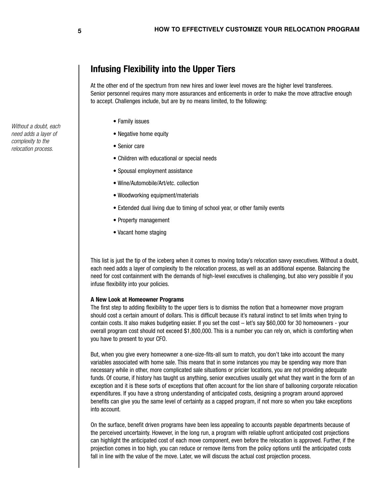## **Infusing Flexibility into the Upper Tiers**

At the other end of the spectrum from new hires and lower level moves are the higher level transferees. Senior personnel requires many more assurances and enticements in order to make the move attractive enough to accept. Challenges include, but are by no means limited, to the following:

- Family issues
- Negative home equity
- Senior care
- Children with educational or special needs
- Spousal employment assistance
- Wine/Automobile/Art/etc. collection
- Woodworking equipment/materials
- Extended dual living due to timing of school year, or other family events
- Property management
- Vacant home staging

This list is just the tip of the iceberg when it comes to moving today's relocation savvy executives. Without a doubt, each need adds a layer of complexity to the relocation process, as well as an additional expense. Balancing the need for cost containment with the demands of high-level executives is challenging, but also very possible if you infuse flexibility into your policies.

#### **A New Look at Homeowner Programs**

The first step to adding flexibility to the upper tiers is to dismiss the notion that a homeowner move program should cost a certain amount of dollars. This is difficult because it's natural instinct to set limits when trying to contain costs. It also makes budgeting easier. If you set the cost – let's say \$60,000 for 30 homeowners - your overall program cost should not exceed \$1,800,000. This is a number you can rely on, which is comforting when you have to present to your CFO.

But, when you give every homeowner a one-size-fits-all sum to match, you don't take into account the many variables associated with home sale. This means that in some instances you may be spending way more than necessary while in other, more complicated sale situations or pricier locations, you are not providing adequate funds. Of course, if history has taught us anything, senior executives usually get what they want in the form of an exception and it is these sorts of exceptions that often account for the lion share of ballooning corporate relocation expenditures. If you have a strong understanding of anticipated costs, designing a program around approved benefits can give you the same level of certainty as a capped program, if not more so when you take exceptions into account.

On the surface, benefit driven programs have been less appealing to accounts payable departments because of the perceived uncertainty. However, in the long run, a program with reliable upfront anticipated cost projections can highlight the anticipated cost of each move component, even before the relocation is approved. Further, if the projection comes in too high, you can reduce or remove items from the policy options until the anticipated costs fall in line with the value of the move. Later, we will discuss the actual cost projection process.

*Without a doubt, each need adds a layer of complexity to the relocation process.*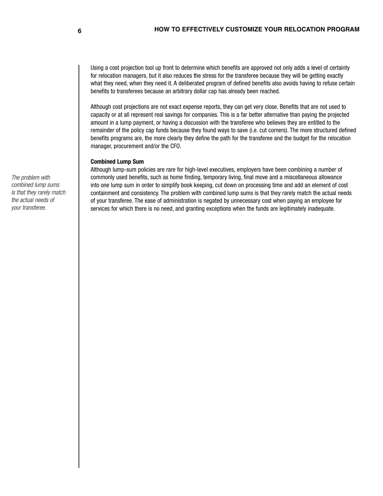Using a cost projection tool up front to determine which benefits are approved not only adds a level of certainty for relocation managers, but it also reduces the stress for the transferee because they will be getting exactly what they need, when they need it. A deliberated program of defined benefits also avoids having to refuse certain benefits to transferees because an arbitrary dollar cap has already been reached.

Although cost projections are not exact expense reports, they can get very close. Benefits that are not used to capacity or at all represent real savings for companies. This is a far better alternative than paying the projected amount in a lump payment, or having a discussion with the transferee who believes they are entitled to the remainder of the policy cap funds because they found ways to save (i.e. cut corners). The more structured defined benefits programs are, the more clearly they define the path for the transferee and the budget for the relocation manager, procurement and/or the CFO.

#### **Combined Lump Sum**

Although lump-sum policies are rare for high-level executives, employers have been combining a number of commonly used benefits, such as home finding, temporary living, final move and a miscellaneous allowance into one lump sum in order to simplify book keeping, cut down on processing time and add an element of cost containment and consistency. The problem with combined lump sums is that they rarely match the actual needs of your transferee. The ease of administration is negated by unnecessary cost when paying an employee for services for which there is no need, and granting exceptions when the funds are legitimately inadequate.

*The problem with combined lump sums is that they rarely match the actual needs of your transferee.*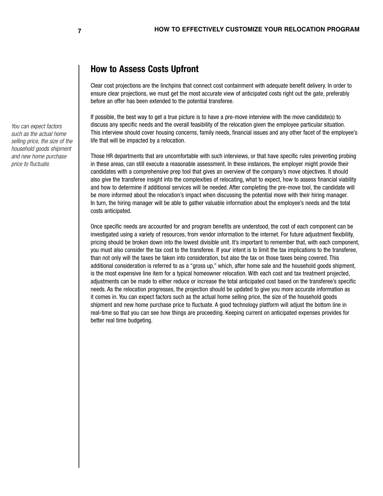### **How to Assess Costs Upfront**

Clear cost projections are the linchpins that connect cost containment with adequate benefit delivery. In order to ensure clear projections, we must get the most accurate view of anticipated costs right out the gate, preferably before an offer has been extended to the potential transferee.

If possible, the best way to get a true picture is to have a pre-move interview with the move candidate(s) to discuss any specific needs and the overall feasibility of the relocation given the employee particular situation. This interview should cover housing concerns, family needs, financial issues and any other facet of the employee's life that will be impacted by a relocation.

Those HR departments that are uncomfortable with such interviews, or that have specific rules preventing probing in these areas, can still execute a reasonable assessment. In these instances, the employer might provide their candidates with a comprehensive prep tool that gives an overview of the company's move objectives. It should also give the transferee insight into the complexities of relocating, what to expect, how to assess financial viability and how to determine if additional services will be needed. After completing the pre-move tool, the candidate will be more informed about the relocation's impact when discussing the potential move with their hiring manager. In turn, the hiring manager will be able to gather valuable information about the employee's needs and the total costs anticipated.

Once specific needs are accounted for and program benefits are understood, the cost of each component can be investigated using a variety of resources, from vendor information to the internet. For future adjustment flexibility, pricing should be broken down into the lowest divisible unit. It's important to remember that, with each component, you must also consider the tax cost to the transferee. If your intent is to limit the tax implications to the transferee, than not only will the taxes be taken into consideration, but also the tax on those taxes being covered. This additional consideration is referred to as a "gross up," which, after home sale and the household goods shipment, is the most expensive line item for a typical homeowner relocation. With each cost and tax treatment projected, adjustments can be made to either reduce or increase the total anticipated cost based on the transferee's specific needs. As the relocation progresses, the projection should be updated to give you more accurate information as it comes in. You can expect factors such as the actual home selling price, the size of the household goods shipment and new home purchase price to fluctuate. A good technology platform will adjust the bottom line in real-time so that you can see how things are proceeding. Keeping current on anticipated expenses provides for better real time budgeting.

*You can expect factors such as the actual home selling price, the size of the household goods shipment and new home purchase price to fluctuate.*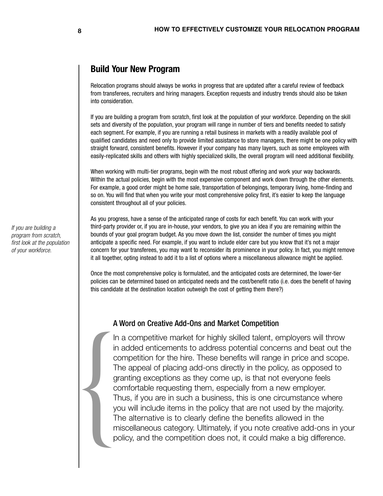### **Build Your New Program**

Relocation programs should always be works in progress that are updated after a careful review of feedback from transferees, recruiters and hiring managers. Exception requests and industry trends should also be taken into consideration.

If you are building a program from scratch, first look at the population of your workforce. Depending on the skill sets and diversity of the population, your program will range in number of tiers and benefits needed to satisfy each segment. For example, if you are running a retail business in markets with a readily available pool of qualified candidates and need only to provide limited assistance to store managers, there might be one policy with straight forward, consistent benefits. However if your company has many layers, such as some employees with easily-replicated skills and others with highly specialized skills, the overall program will need additional flexibility.

When working with multi-tier programs, begin with the most robust offering and work your way backwards. Within the actual policies, begin with the most expensive component and work down through the other elements. For example, a good order might be home sale, transportation of belongings, temporary living, home-finding and so on. You will find that when you write your most comprehensive policy first, it's easier to keep the language consistent throughout all of your policies.

As you progress, have a sense of the anticipated range of costs for each benefit. You can work with your third-party provider or, if you are in-house, your vendors, to give you an idea if you are remaining within the bounds of your goal program budget. As you move down the list, consider the number of times you might anticipate a specific need. For example, if you want to include elder care but you know that it's not a major concern for your transferees, you may want to reconsider its prominence in your policy. In fact, you might remove it all together, opting instead to add it to a list of options where a miscellaneous allowance might be applied.

Once the most comprehensive policy is formulated, and the anticipated costs are determined, the lower-tier policies can be determined based on anticipated needs and the cost/benefit ratio (i.e. does the benefit of having this candidate at the destination location outweigh the cost of getting them there?)

#### A Word on Creative Add-Ons and Market Competition

In a competitive market for highly skilled talent, employers will throw in added enticements to address potential concerns and beat out the competition for the hire. These benefits will range in price and scope. The appeal of placing add-ons directly in the policy, as opposed to granting exceptions as they come up, is that not everyone feels comfortable requesting them, especially from a new employer. Thus, if you are in such a business, this is one circumstance where you will include items in the policy that are not used by the majority. The alternative is to clearly define the benefits allowed in the miscellaneous category. Ultimately, if you note creative add-ons in your policy, and the competition does not, it could make a big difference. FIRE STRAIN<br>
TO STRAIN<br>
TO STRAIN<br>
TO STRAIN<br>
TO STRAIN<br>
TO STRAIN<br>
TO STRAIN<br>
TO STRAIN<br>
TO STRAIN

*If you are building a program from scratch, first look at the population of your workforce.*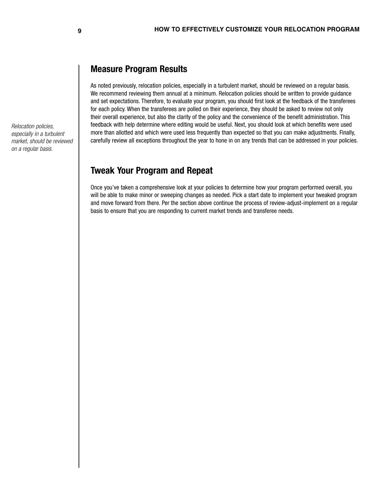## **Measure Program Results**

As noted previously, relocation policies, especially in a turbulent market, should be reviewed on a regular basis. We recommend reviewing them annual at a minimum. Relocation policies should be written to provide guidance and set expectations. Therefore, to evaluate your program, you should first look at the feedback of the transferees for each policy. When the transferees are polled on their experience, they should be asked to review not only their overall experience, but also the clarity of the policy and the convenience of the benefit administration. This feedback with help determine where editing would be useful. Next, you should look at which benefits were used more than allotted and which were used less frequently than expected so that you can make adjustments. Finally, carefully review all exceptions throughout the year to hone in on any trends that can be addressed in your policies.

#### **Tweak Your Program and Repeat**

Once you've taken a comprehensive look at your policies to determine how your program performed overall, you will be able to make minor or sweeping changes as needed. Pick a start date to implement your tweaked program and move forward from there. Per the section above continue the process of review-adjust-implement on a regular basis to ensure that you are responding to current market trends and transferee needs.

*Relocation policies, especially in a turbulent market, should be reviewed on a regular basis.*